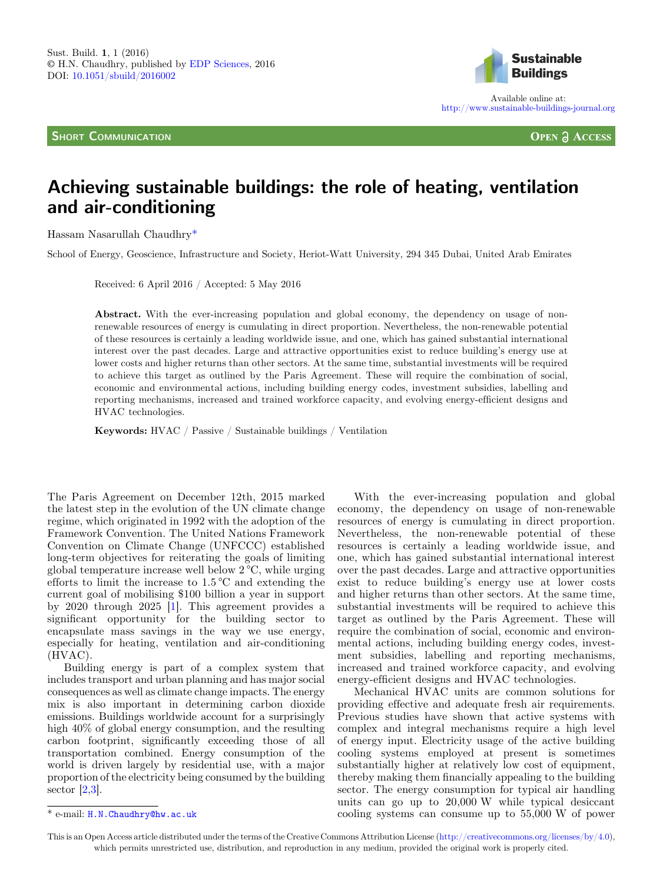**SHORT COMMUNICATION** 



Available online at: <http://www.sustainable-buildings-journal.org>

**OPEN A ACCESS** 

## Achieving sustainable buildings: the role of heating, ventilation and air-conditioning

Hassam Nasarullah Chaudhry\*

School of Energy, Geoscience, Infrastructure and Society, Heriot-Watt University, 294 345 Dubai, United Arab Emirates

Received: 6 April 2016 / Accepted: 5 May 2016

Abstract. With the ever-increasing population and global economy, the dependency on usage of nonrenewable resources of energy is cumulating in direct proportion. Nevertheless, the non-renewable potential of these resources is certainly a leading worldwide issue, and one, which has gained substantial international interest over the past decades. Large and attractive opportunities exist to reduce building's energy use at lower costs and higher returns than other sectors. At the same time, substantial investments will be required to achieve this target as outlined by the Paris Agreement. These will require the combination of social, economic and environmental actions, including building energy codes, investment subsidies, labelling and reporting mechanisms, increased and trained workforce capacity, and evolving energy-efficient designs and HVAC technologies.

Keywords: HVAC / Passive / Sustainable buildings / Ventilation

The Paris Agreement on December 12th, 2015 marked the latest step in the evolution of the UN climate change regime, which originated in 1992 with the adoption of the Framework Convention. The United Nations Framework Convention on Climate Change (UNFCCC) established long-term objectives for reiterating the goals of limiting global temperature increase well below 2 °C, while urging efforts to limit the increase to 1.5 °C and extending the current goal of mobilising \$100 billion a year in support by 2020 through 2025 [\[1](#page-1-0)]. This agreement provides a significant opportunity for the building sector to encapsulate mass savings in the way we use energy, especially for heating, ventilation and air-conditioning (HVAC).

Building energy is part of a complex system that includes transport and urban planning and has major social consequences as well as climate change impacts. The energy mix is also important in determining carbon dioxide emissions. Buildings worldwide account for a surprisingly high 40% of global energy consumption, and the resulting carbon footprint, significantly exceeding those of all transportation combined. Energy consumption of the world is driven largely by residential use, with a major proportion of the electricity being consumed by the building sector [[2,](#page-1-0)[3\]](#page-2-0).

With the ever-increasing population and global economy, the dependency on usage of non-renewable resources of energy is cumulating in direct proportion. Nevertheless, the non-renewable potential of these resources is certainly a leading worldwide issue, and one, which has gained substantial international interest over the past decades. Large and attractive opportunities exist to reduce building's energy use at lower costs and higher returns than other sectors. At the same time, substantial investments will be required to achieve this target as outlined by the Paris Agreement. These will require the combination of social, economic and environmental actions, including building energy codes, investment subsidies, labelling and reporting mechanisms, increased and trained workforce capacity, and evolving energy-efficient designs and HVAC technologies.

Mechanical HVAC units are common solutions for providing effective and adequate fresh air requirements. Previous studies have shown that active systems with complex and integral mechanisms require a high level of energy input. Electricity usage of the active building cooling systems employed at present is sometimes substantially higher at relatively low cost of equipment, thereby making them financially appealing to the building sector. The energy consumption for typical air handling units can go up to 20,000 W while typical desiccant \* e-mail: [H.N.Chaudhry@hw.ac.uk](mailto:H.N.Chaudhry@hw.ac.uk) cooling systems can consume up to 55,000 W of power

This is an Open Access article distributed under the terms of the Creative Commons Attribution License ([http://creativecommons.org/licenses/by/4.0\)](http://creativecommons.org/licenses/by/4.0), which permits unrestricted use, distribution, and reproduction in any medium, provided the original work is properly cited.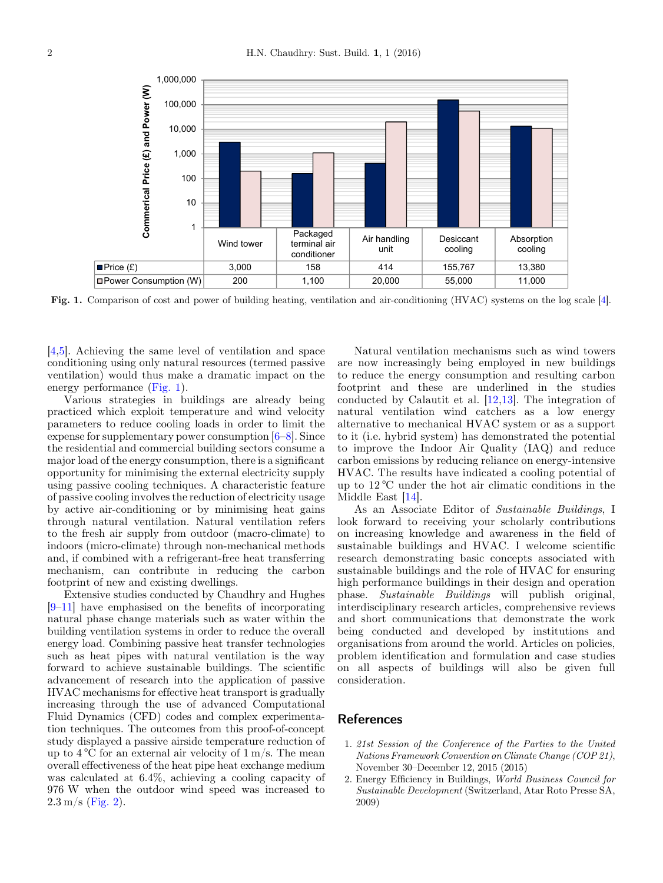<span id="page-1-0"></span>

Fig. 1. Comparison of cost and power of building heating, ventilation and air-conditioning (HVAC) systems on the log scale [\[4\]](#page-2-0).

[\[4,5](#page-2-0)]. Achieving the same level of ventilation and space conditioning using only natural resources (termed passive ventilation) would thus make a dramatic impact on the energy performance (Fig. 1).

Various strategies in buildings are already being practiced which exploit temperature and wind velocity parameters to reduce cooling loads in order to limit the expense for supplementary power consumption [[6](#page-2-0)–[8\]](#page-2-0). Since the residential and commercial building sectors consume a major load of the energy consumption, there is a significant opportunity for minimising the external electricity supply using passive cooling techniques. A characteristic feature of passive cooling involves the reduction of electricity usage by active air-conditioning or by minimising heat gains through natural ventilation. Natural ventilation refers to the fresh air supply from outdoor (macro-climate) to indoors (micro-climate) through non-mechanical methods and, if combined with a refrigerant-free heat transferring mechanism, can contribute in reducing the carbon footprint of new and existing dwellings.

Extensive studies conducted by Chaudhry and Hughes [\[9](#page-2-0)–[11](#page-2-0)] have emphasised on the benefits of incorporating natural phase change materials such as water within the building ventilation systems in order to reduce the overall energy load. Combining passive heat transfer technologies such as heat pipes with natural ventilation is the way forward to achieve sustainable buildings. The scientific advancement of research into the application of passive HVAC mechanisms for effective heat transport is gradually increasing through the use of advanced Computational Fluid Dynamics (CFD) codes and complex experimentation techniques. The outcomes from this proof-of-concept study displayed a passive airside temperature reduction of up to  $4^{\circ}$ C for an external air velocity of  $1 \text{ m/s}$ . The mean overall effectiveness of the heat pipe heat exchange medium was calculated at 6.4%, achieving a cooling capacity of 976 W when the outdoor wind speed was increased to  $2.3 \,\mathrm{m/s}$  [\(Fig. 2\)](#page-2-0).

Natural ventilation mechanisms such as wind towers are now increasingly being employed in new buildings to reduce the energy consumption and resulting carbon footprint and these are underlined in the studies conducted by Calautit et al. [[12](#page-2-0),[13](#page-2-0)]. The integration of natural ventilation wind catchers as a low energy alternative to mechanical HVAC system or as a support to it (i.e. hybrid system) has demonstrated the potential to improve the Indoor Air Quality (IAQ) and reduce carbon emissions by reducing reliance on energy-intensive HVAC. The results have indicated a cooling potential of up to 12 °C under the hot air climatic conditions in the Middle East [\[14](#page-2-0)].

As an Associate Editor of Sustainable Buildings, I look forward to receiving your scholarly contributions on increasing knowledge and awareness in the field of sustainable buildings and HVAC. I welcome scientific research demonstrating basic concepts associated with sustainable buildings and the role of HVAC for ensuring high performance buildings in their design and operation<br>phase. Sustainable Buildings will publish original. Sustainable Buildings will publish original, interdisciplinary research articles, comprehensive reviews and short communications that demonstrate the work being conducted and developed by institutions and organisations from around the world. Articles on policies, problem identification and formulation and case studies on all aspects of buildings will also be given full consideration.

## **References**

- 1. 21st Session of the Conference of the Parties to the United Nations Framework Convention on Climate Change (COP 21), November 30–December 12, 2015 (2015)
- 2. Energy Efficiency in Buildings, World Business Council for Sustainable Development (Switzerland, Atar Roto Presse SA, 2009)